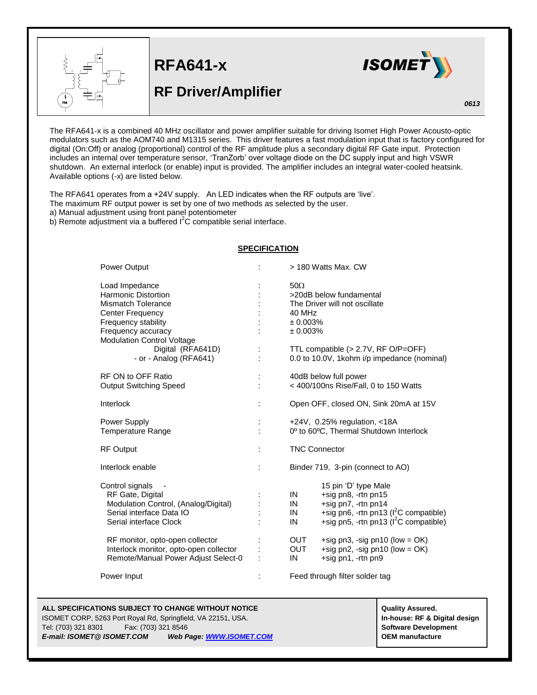

 $\overline{a}$ 

**RFA641-x**

## **RF Driver/Amplifier**



The RFA641-x is a combined 40 MHz oscillator and power amplifier suitable for driving Isomet High Power Acousto-optic modulators such as the AOM740 and M1315 series. This driver features a fast modulation input that is factory configured for digital (On:Off) or analog (proportional) control of the RF amplitude plus a secondary digital RF Gate input. Protection includes an internal over temperature sensor, 'TranZorb' over voltage diode on the DC supply input and high VSWR shutdown. An external interlock (or enable) input is provided. The amplifier includes an integral water-cooled heatsink. Available options (-x) are listed below.

The RFA641 operates from a +24V supply. An LED indicates when the RF outputs are 'live'. The maximum RF output power is set by one of two methods as selected by the user. a) Manual adjustment using front panel potentiometer b) Remote adjustment via a buffered l<sup>2</sup>C compatible serial interface.

## **SPECIFICATION**

| Power Output                                                                                                                                                                           |          | > 180 Watts Max, CW                                                                                                                                                               |
|----------------------------------------------------------------------------------------------------------------------------------------------------------------------------------------|----------|-----------------------------------------------------------------------------------------------------------------------------------------------------------------------------------|
| Load Impedance<br><b>Harmonic Distortion</b><br><b>Mismatch Tolerance</b><br><b>Center Frequency</b><br>Frequency stability<br>Frequency accuracy<br><b>Modulation Control Voltage</b> |          | $50\Omega$<br>>20dB below fundamental<br>The Driver will not oscillate<br>40 MHz<br>± 0.003%<br>± 0.003%                                                                          |
| Digital (RFA641D)<br>- or - Analog (RFA641)                                                                                                                                            | t        | TTL compatible (> 2.7V, RF O/P=OFF)<br>0.0 to 10.0V, 1kohm i/p impedance (nominal)                                                                                                |
| RF ON to OFF Ratio<br><b>Output Switching Speed</b>                                                                                                                                    |          | 40dB below full power<br>< 400/100ns Rise/Fall, 0 to 150 Watts                                                                                                                    |
| Interlock                                                                                                                                                                              | t        | Open OFF, closed ON, Sink 20mA at 15V                                                                                                                                             |
| Power Supply<br><b>Temperature Range</b>                                                                                                                                               | t.<br>ł. | $+24V$ , 0.25% regulation, <18A<br>0° to 60°C, Thermal Shutdown Interlock                                                                                                         |
| <b>RF Output</b>                                                                                                                                                                       |          | <b>TNC Connector</b>                                                                                                                                                              |
| Interlock enable                                                                                                                                                                       | t        | Binder 719, 3-pin (connect to AO)                                                                                                                                                 |
| Control signals<br>RF Gate, Digital<br>Modulation Control, (Analog/Digital)<br>Serial interface Data IO<br>Serial interface Clock                                                      |          | 15 pin 'D' type Male<br>+sig pn8, -rtn pn15<br>IN<br>+sig pn7, -rtn pn14<br>IN<br>+sig pn6, -rtn pn13 ( $I2C$ compatible)<br>IN<br>+sig pn5, -rtn pn13 ( $I^2C$ compatible)<br>IN |
| RF monitor, opto-open collector<br>Interlock monitor, opto-open collector<br>Remote/Manual Power Adjust Select-0                                                                       |          | <b>OUT</b><br>+sig pn3, -sig pn10 (low = $OK$ )<br><b>OUT</b><br>+sig pn2, -sig pn10 (low = $OK$ )<br>IN<br>+sig pn1, -rtn pn9                                                    |
| Power Input                                                                                                                                                                            |          | Feed through filter solder tag                                                                                                                                                    |

**ALL SPECIFICATIONS SUBJECT TO CHANGE WITHOUT NOTICE And CONTACT ASSURANT CONTRACT ASSURED.** Quality Assured. ISOMET CORP, 5263 Port Royal Rd, Springfield, VA 22151, USA. **In-house: RF & Digital design**

Tel: (703) 321 8301 Fax: (703) 321 8546 **Software Development** *E-mail: ISOMET@ ISOMET.COM Web Page: WWW.ISOMET.COM* **OEM manufacture**